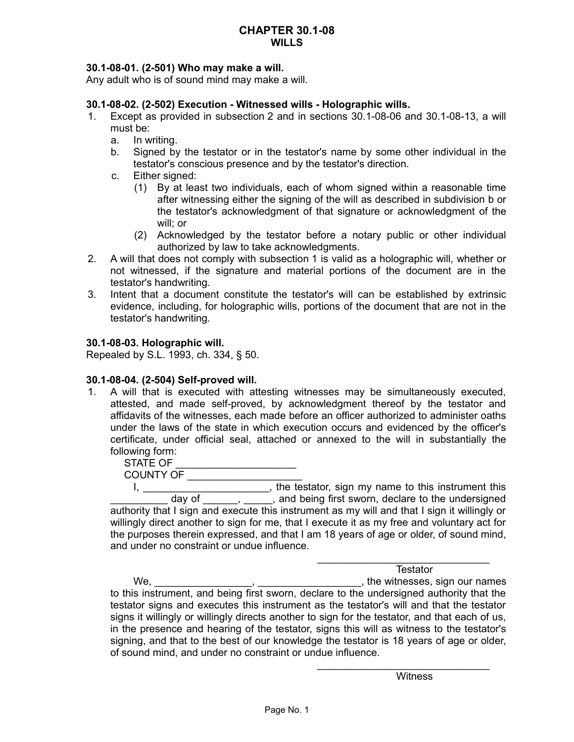# **30.1-08-01. (2-501) Who may make a will.**

Any adult who is of sound mind may make a will.

## **30.1-08-02. (2-502) Execution - Witnessed wills - Holographic wills.**

- 1. Except as provided in subsection 2 and in sections 30.1-08-06 and 30.1-08-13, a will must be:
	- a. In writing.
	- b. Signed by the testator or in the testator's name by some other individual in the testator's conscious presence and by the testator's direction.
	- c. Either signed:
		- (1) By at least two individuals, each of whom signed within a reasonable time after witnessing either the signing of the will as described in subdivision b or the testator's acknowledgment of that signature or acknowledgment of the will; or
		- (2) Acknowledged by the testator before a notary public or other individual authorized by law to take acknowledgments.
- 2. A will that does not comply with subsection 1 is valid as a holographic will, whether or not witnessed, if the signature and material portions of the document are in the testator's handwriting.
- 3. Intent that a document constitute the testator's will can be established by extrinsic evidence, including, for holographic wills, portions of the document that are not in the testator's handwriting.

## **30.1-08-03. Holographic will.**

Repealed by S.L. 1993, ch. 334, § 50.

### **30.1-08-04. (2-504) Self-proved will.**

1. A will that is executed with attesting witnesses may be simultaneously executed, attested, and made self-proved, by acknowledgment thereof by the testator and affidavits of the witnesses, each made before an officer authorized to administer oaths under the laws of the state in which execution occurs and evidenced by the officer's certificate, under official seal, attached or annexed to the will in substantially the following form:

STATE OF \_\_\_\_\_\_\_\_\_\_\_\_\_\_\_\_\_\_\_\_\_\_\_\_\_ COUNTY OF \_\_\_\_\_\_\_\_\_\_\_\_\_\_\_\_\_\_\_\_

I, \_\_\_\_\_\_\_\_\_\_\_\_\_\_\_\_\_\_\_\_\_\_\_, the testator, sign my name to this instrument this day of \_\_\_\_\_, \_\_\_\_, and being first sworn, declare to the undersigned authority that I sign and execute this instrument as my will and that I sign it willingly or willingly direct another to sign for me, that I execute it as my free and voluntary act for the purposes therein expressed, and that I am 18 years of age or older, of sound mind, and under no constraint or undue influence.

**Testator** 

 $\overline{\phantom{a}}$  , and the set of the set of the set of the set of the set of the set of the set of the set of the set of the set of the set of the set of the set of the set of the set of the set of the set of the set of the s

We, \_\_\_\_\_\_\_\_\_\_\_\_\_\_\_\_\_, \_\_\_\_\_\_\_\_\_\_\_\_\_\_\_\_\_\_, the witnesses, sign our names to this instrument, and being first sworn, declare to the undersigned authority that the testator signs and executes this instrument as the testator's will and that the testator signs it willingly or willingly directs another to sign for the testator, and that each of us, in the presence and hearing of the testator, signs this will as witness to the testator's signing, and that to the best of our knowledge the testator is 18 years of age or older, of sound mind, and under no constraint or undue influence.

**Witness** 

\_\_\_\_\_\_\_\_\_\_\_\_\_\_\_\_\_\_\_\_\_\_\_\_\_\_\_\_\_\_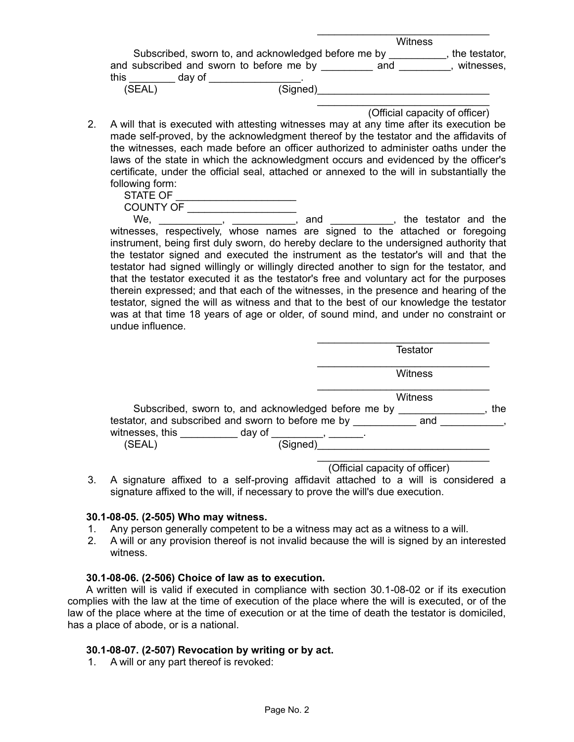|                                                                                                                   |          | <b>Witness</b> |                             |
|-------------------------------------------------------------------------------------------------------------------|----------|----------------|-----------------------------|
| Subscribed, sworn to, and acknowledged before me by<br>and subscribed and sworn to before me by<br>this<br>day of |          | and            | the testator,<br>witnesses, |
| (SEAL)                                                                                                            | (Signed) |                |                             |

- (Official capacity of officer)
- 2. A will that is executed with attesting witnesses may at any time after its execution be made self-proved, by the acknowledgment thereof by the testator and the affidavits of the witnesses, each made before an officer authorized to administer oaths under the laws of the state in which the acknowledgment occurs and evidenced by the officer's certificate, under the official seal, attached or annexed to the will in substantially the following form:

| STATE OF  |  |
|-----------|--|
| COUNTY OF |  |
|           |  |

We, \_\_\_\_\_\_\_\_\_\_, \_\_\_\_\_\_\_\_\_\_\_, and \_\_\_\_\_\_\_\_\_\_, the testator and the witnesses, respectively, whose names are signed to the attached or foregoing instrument, being first duly sworn, do hereby declare to the undersigned authority that the testator signed and executed the instrument as the testator's will and that the testator had signed willingly or willingly directed another to sign for the testator, and that the testator executed it as the testator's free and voluntary act for the purposes therein expressed; and that each of the witnesses, in the presence and hearing of the testator, signed the will as witness and that to the best of our knowledge the testator was at that time 18 years of age or older, of sound mind, and under no constraint or undue influence.

|                                                                                                                | Testator       |
|----------------------------------------------------------------------------------------------------------------|----------------|
|                                                                                                                | <b>Witness</b> |
| Subscribed, sworn to, and acknowledged before me by                                                            | Witness<br>the |
| testator, and subscribed and sworn to before me by<br>witnesses, this because the day of<br>(SEAL)<br>(Signed) | and            |

(Official capacity of officer)

3. A signature affixed to a self-proving affidavit attached to a will is considered a signature affixed to the will, if necessary to prove the will's due execution.

### **30.1-08-05. (2-505) Who may witness.**

- 1. Any person generally competent to be a witness may act as a witness to a will.
- 2. A will or any provision thereof is not invalid because the will is signed by an interested witness.

### **30.1-08-06. (2-506) Choice of law as to execution.**

A written will is valid if executed in compliance with section 30.1-08-02 or if its execution complies with the law at the time of execution of the place where the will is executed, or of the law of the place where at the time of execution or at the time of death the testator is domiciled, has a place of abode, or is a national.

### **30.1-08-07. (2-507) Revocation by writing or by act.**

1. A will or any part thereof is revoked: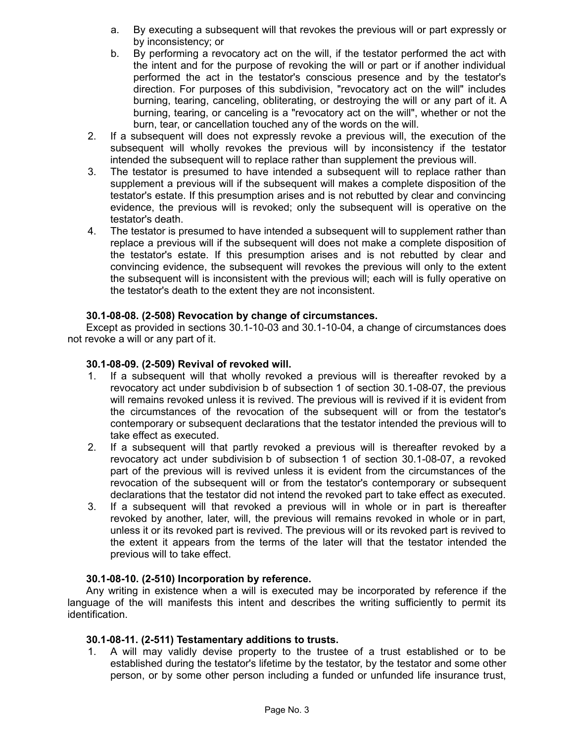- a. By executing a subsequent will that revokes the previous will or part expressly or by inconsistency; or
- b. By performing a revocatory act on the will, if the testator performed the act with the intent and for the purpose of revoking the will or part or if another individual performed the act in the testator's conscious presence and by the testator's direction. For purposes of this subdivision, "revocatory act on the will" includes burning, tearing, canceling, obliterating, or destroying the will or any part of it. A burning, tearing, or canceling is a "revocatory act on the will", whether or not the burn, tear, or cancellation touched any of the words on the will.
- 2. If a subsequent will does not expressly revoke a previous will, the execution of the subsequent will wholly revokes the previous will by inconsistency if the testator intended the subsequent will to replace rather than supplement the previous will.
- 3. The testator is presumed to have intended a subsequent will to replace rather than supplement a previous will if the subsequent will makes a complete disposition of the testator's estate. If this presumption arises and is not rebutted by clear and convincing evidence, the previous will is revoked; only the subsequent will is operative on the testator's death.
- 4. The testator is presumed to have intended a subsequent will to supplement rather than replace a previous will if the subsequent will does not make a complete disposition of the testator's estate. If this presumption arises and is not rebutted by clear and convincing evidence, the subsequent will revokes the previous will only to the extent the subsequent will is inconsistent with the previous will; each will is fully operative on the testator's death to the extent they are not inconsistent.

# **30.1-08-08. (2-508) Revocation by change of circumstances.**

Except as provided in sections 30.1-10-03 and 30.1-10-04, a change of circumstances does not revoke a will or any part of it.

## **30.1-08-09. (2-509) Revival of revoked will.**

- 1. If a subsequent will that wholly revoked a previous will is thereafter revoked by a revocatory act under subdivision b of subsection 1 of section 30.1-08-07, the previous will remains revoked unless it is revived. The previous will is revived if it is evident from the circumstances of the revocation of the subsequent will or from the testator's contemporary or subsequent declarations that the testator intended the previous will to take effect as executed.
- 2. If a subsequent will that partly revoked a previous will is thereafter revoked by a revocatory act under subdivision b of subsection 1 of section 30.1-08-07, a revoked part of the previous will is revived unless it is evident from the circumstances of the revocation of the subsequent will or from the testator's contemporary or subsequent declarations that the testator did not intend the revoked part to take effect as executed.
- 3. If a subsequent will that revoked a previous will in whole or in part is thereafter revoked by another, later, will, the previous will remains revoked in whole or in part, unless it or its revoked part is revived. The previous will or its revoked part is revived to the extent it appears from the terms of the later will that the testator intended the previous will to take effect.

### **30.1-08-10. (2-510) Incorporation by reference.**

Any writing in existence when a will is executed may be incorporated by reference if the language of the will manifests this intent and describes the writing sufficiently to permit its identification.

# **30.1-08-11. (2-511) Testamentary additions to trusts.**

1. A will may validly devise property to the trustee of a trust established or to be established during the testator's lifetime by the testator, by the testator and some other person, or by some other person including a funded or unfunded life insurance trust,